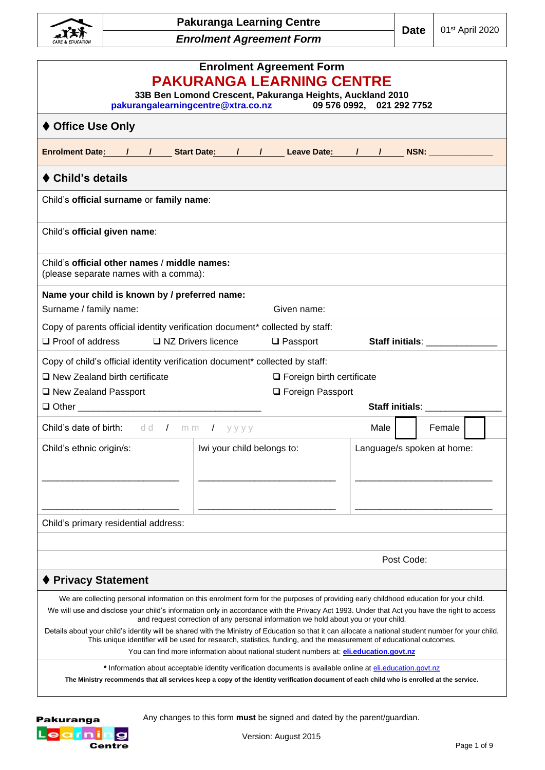

| <b>Enrolment Agreement Form</b><br><b>PAKURANGA LEARNING CENTRE</b><br>33B Ben Lomond Crescent, Pakuranga Heights, Auckland 2010<br>pakurangalearningcentre@xtra.co.nz<br>09 576 0992, 021 292 7752                                                                                                                                                                                                                                                                                                                                                                                                                                                                                                                                                                                                                                                                                                                                                                                                             |                            |                                                        |        |                                                                                                                                                                                                                                |  |  |
|-----------------------------------------------------------------------------------------------------------------------------------------------------------------------------------------------------------------------------------------------------------------------------------------------------------------------------------------------------------------------------------------------------------------------------------------------------------------------------------------------------------------------------------------------------------------------------------------------------------------------------------------------------------------------------------------------------------------------------------------------------------------------------------------------------------------------------------------------------------------------------------------------------------------------------------------------------------------------------------------------------------------|----------------------------|--------------------------------------------------------|--------|--------------------------------------------------------------------------------------------------------------------------------------------------------------------------------------------------------------------------------|--|--|
| ♦ Office Use Only                                                                                                                                                                                                                                                                                                                                                                                                                                                                                                                                                                                                                                                                                                                                                                                                                                                                                                                                                                                               |                            |                                                        |        |                                                                                                                                                                                                                                |  |  |
| Enrolment Date: 1 1 Start Date: 1 1 Leave Date: 1 1 NSN: NEW                                                                                                                                                                                                                                                                                                                                                                                                                                                                                                                                                                                                                                                                                                                                                                                                                                                                                                                                                    |                            |                                                        |        |                                                                                                                                                                                                                                |  |  |
| ♦ Child's details                                                                                                                                                                                                                                                                                                                                                                                                                                                                                                                                                                                                                                                                                                                                                                                                                                                                                                                                                                                               |                            |                                                        |        |                                                                                                                                                                                                                                |  |  |
| Child's official surname or family name:                                                                                                                                                                                                                                                                                                                                                                                                                                                                                                                                                                                                                                                                                                                                                                                                                                                                                                                                                                        |                            |                                                        |        |                                                                                                                                                                                                                                |  |  |
| Child's official given name:                                                                                                                                                                                                                                                                                                                                                                                                                                                                                                                                                                                                                                                                                                                                                                                                                                                                                                                                                                                    |                            |                                                        |        |                                                                                                                                                                                                                                |  |  |
| Child's official other names / middle names:<br>(please separate names with a comma):                                                                                                                                                                                                                                                                                                                                                                                                                                                                                                                                                                                                                                                                                                                                                                                                                                                                                                                           |                            |                                                        |        |                                                                                                                                                                                                                                |  |  |
| Name your child is known by / preferred name:<br>Surname / family name:                                                                                                                                                                                                                                                                                                                                                                                                                                                                                                                                                                                                                                                                                                                                                                                                                                                                                                                                         |                            | Given name:                                            |        |                                                                                                                                                                                                                                |  |  |
| Copy of parents official identity verification document* collected by staff:<br>□ NZ Drivers licence<br>$\Box$ Proof of address                                                                                                                                                                                                                                                                                                                                                                                                                                                                                                                                                                                                                                                                                                                                                                                                                                                                                 |                            | $\Box$ Passport                                        |        | Staff initials: Staff in the Staff in the Staff in the Staff in the Staff in the Staff in the Staff in the Staff in the Staff in the Staff in the Staff in the Staff in the Staff in the Staff in the Staff in the Staff in th |  |  |
| Copy of child's official identity verification document* collected by staff:<br>□ New Zealand birth certificate<br>□ New Zealand Passport                                                                                                                                                                                                                                                                                                                                                                                                                                                                                                                                                                                                                                                                                                                                                                                                                                                                       |                            | $\Box$ Foreign birth certificate<br>□ Foreign Passport |        |                                                                                                                                                                                                                                |  |  |
|                                                                                                                                                                                                                                                                                                                                                                                                                                                                                                                                                                                                                                                                                                                                                                                                                                                                                                                                                                                                                 |                            |                                                        |        | Staff initials: ________                                                                                                                                                                                                       |  |  |
| <b>Child's date of birth:</b> $dd / mm / y y y y$                                                                                                                                                                                                                                                                                                                                                                                                                                                                                                                                                                                                                                                                                                                                                                                                                                                                                                                                                               |                            |                                                        | Male I | Female I                                                                                                                                                                                                                       |  |  |
| Child's ethnic origin/s:                                                                                                                                                                                                                                                                                                                                                                                                                                                                                                                                                                                                                                                                                                                                                                                                                                                                                                                                                                                        | Iwi your child belongs to: |                                                        |        | Language/s spoken at home:                                                                                                                                                                                                     |  |  |
| Child's primary residential address:                                                                                                                                                                                                                                                                                                                                                                                                                                                                                                                                                                                                                                                                                                                                                                                                                                                                                                                                                                            |                            |                                                        |        |                                                                                                                                                                                                                                |  |  |
|                                                                                                                                                                                                                                                                                                                                                                                                                                                                                                                                                                                                                                                                                                                                                                                                                                                                                                                                                                                                                 |                            |                                                        |        |                                                                                                                                                                                                                                |  |  |
| Post Code:<br>♦ Privacy Statement                                                                                                                                                                                                                                                                                                                                                                                                                                                                                                                                                                                                                                                                                                                                                                                                                                                                                                                                                                               |                            |                                                        |        |                                                                                                                                                                                                                                |  |  |
| We are collecting personal information on this enrolment form for the purposes of providing early childhood education for your child.<br>We will use and disclose your child's information only in accordance with the Privacy Act 1993. Under that Act you have the right to access<br>and request correction of any personal information we hold about you or your child.<br>Details about your child's identity will be shared with the Ministry of Education so that it can allocate a national student number for your child.<br>This unique identifier will be used for research, statistics, funding, and the measurement of educational outcomes.<br>You can find more information about national student numbers at: eli.education.govt.nz<br>* Information about acceptable identity verification documents is available online at eli.education.govt.nz<br>The Ministry recommends that all services keep a copy of the identity verification document of each child who is enrolled at the service. |                            |                                                        |        |                                                                                                                                                                                                                                |  |  |
|                                                                                                                                                                                                                                                                                                                                                                                                                                                                                                                                                                                                                                                                                                                                                                                                                                                                                                                                                                                                                 |                            |                                                        |        |                                                                                                                                                                                                                                |  |  |

Pakuranga Learning<br><sub>Centre</sub>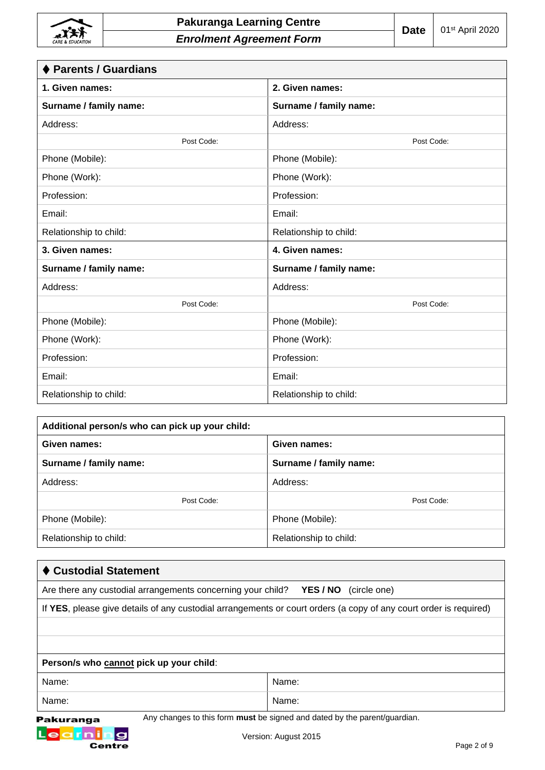

| ♦ Parents / Guardians  |                        |
|------------------------|------------------------|
| 1. Given names:        | 2. Given names:        |
| Surname / family name: | Surname / family name: |
| Address:               | Address:               |
| Post Code:             | Post Code:             |
| Phone (Mobile):        | Phone (Mobile):        |
| Phone (Work):          | Phone (Work):          |
| Profession:            | Profession:            |
| Email:                 | Email:                 |
| Relationship to child: | Relationship to child: |
| 3. Given names:        | 4. Given names:        |
| Surname / family name: | Surname / family name: |
| Address:               | Address:               |
| Post Code:             | Post Code:             |
| Phone (Mobile):        | Phone (Mobile):        |
| Phone (Work):          | Phone (Work):          |
| Profession:            | Profession:            |
| Email:                 | Email:                 |
| Relationship to child: | Relationship to child: |

| Additional person/s who can pick up your child: |                        |  |  |  |  |
|-------------------------------------------------|------------------------|--|--|--|--|
| Given names:                                    | Given names:           |  |  |  |  |
| Surname / family name:                          | Surname / family name: |  |  |  |  |
| Address:                                        | Address:               |  |  |  |  |
| Post Code:                                      | Post Code:             |  |  |  |  |
| Phone (Mobile):                                 | Phone (Mobile):        |  |  |  |  |
| Relationship to child:                          | Relationship to child: |  |  |  |  |

| ♦ Custodial Statement                                                                                             |                                                                                  |
|-------------------------------------------------------------------------------------------------------------------|----------------------------------------------------------------------------------|
| Are there any custodial arrangements concerning your child?                                                       | YES / NO<br>(circle one)                                                         |
| If YES, please give details of any custodial arrangements or court orders (a copy of any court order is required) |                                                                                  |
|                                                                                                                   |                                                                                  |
|                                                                                                                   |                                                                                  |
| Person/s who cannot pick up your child:                                                                           |                                                                                  |
| Name:                                                                                                             | Name:                                                                            |
| Name:                                                                                                             | Name:                                                                            |
| Pakuranga                                                                                                         | Any changes to this form <b>must</b> be signed and dated by the parent/guardian. |
| Le                                                                                                                | Version: August 2015                                                             |

Centre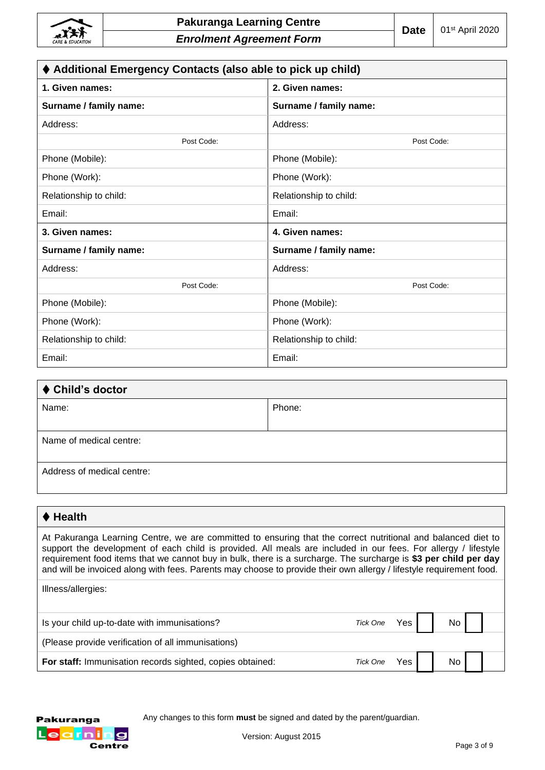| ♦ Additional Emergency Contacts (also able to pick up child) |                        |  |  |  |  |
|--------------------------------------------------------------|------------------------|--|--|--|--|
| 1. Given names:                                              | 2. Given names:        |  |  |  |  |
| Surname / family name:                                       | Surname / family name: |  |  |  |  |
| Address:                                                     | Address:               |  |  |  |  |
| Post Code:                                                   | Post Code:             |  |  |  |  |
| Phone (Mobile):                                              | Phone (Mobile):        |  |  |  |  |
| Phone (Work):                                                | Phone (Work):          |  |  |  |  |
| Relationship to child:                                       | Relationship to child: |  |  |  |  |
| Email:                                                       | Email:                 |  |  |  |  |
| 3. Given names:                                              | 4. Given names:        |  |  |  |  |
| Surname / family name:                                       | Surname / family name: |  |  |  |  |
| Address:                                                     | Address:               |  |  |  |  |
| Post Code:                                                   | Post Code:             |  |  |  |  |
| Phone (Mobile):                                              | Phone (Mobile):        |  |  |  |  |
| Phone (Work):                                                | Phone (Work):          |  |  |  |  |
| Relationship to child:                                       | Relationship to child: |  |  |  |  |
| Email:                                                       | Email:                 |  |  |  |  |

# ⧫ **Child's doctor** Name: Phone: Phone: Phone: Phone: Phone: Phone: Phone: Phone: Phone: Phone: Phone: Phone: Phone: Phone: Phone: Phone: Phone: Phone: Phone: Phone: Phone: Phone: Phone: Phone: Phone: Phone: Phone: Phone: Phone: Phone: Phone: Name of medical centre: Address of medical centre:

### ⧫ **Health**

At Pakuranga Learning Centre, we are committed to ensuring that the correct nutritional and balanced diet to support the development of each child is provided. All meals are included in our fees. For allergy / lifestyle requirement food items that we cannot buy in bulk, there is a surcharge. The surcharge is **\$3 per child per day**  and will be invoiced along with fees. Parents may choose to provide their own allergy / lifestyle requirement food.

| Illness/allergies:                                        |          |      |    |  |
|-----------------------------------------------------------|----------|------|----|--|
| Is your child up-to-date with immunisations?              | Tick One | Yes  | No |  |
| (Please provide verification of all immunisations)        |          |      |    |  |
| For staff: Immunisation records sighted, copies obtained: | Tick One | Yes. | No |  |

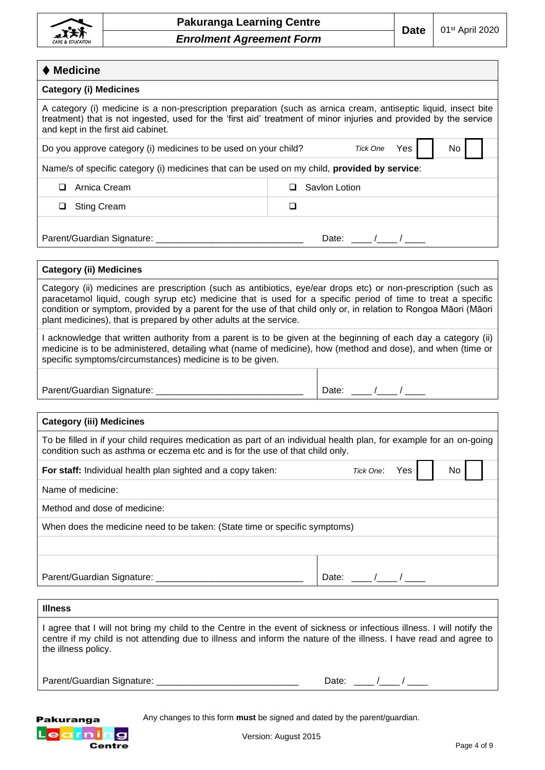

| $\blacklozenge$ Medicine                                                                                                                                                                                                                                                   |    |
|----------------------------------------------------------------------------------------------------------------------------------------------------------------------------------------------------------------------------------------------------------------------------|----|
| <b>Category (i) Medicines</b>                                                                                                                                                                                                                                              |    |
| A category (i) medicine is a non-prescription preparation (such as arnica cream, antiseptic liquid, insect bite<br>treatment) that is not ingested, used for the 'first aid' treatment of minor injuries and provided by the service<br>and kept in the first aid cabinet. |    |
| Do you approve category (i) medicines to be used on your child?<br>Tick One<br>Yes                                                                                                                                                                                         | No |
| Name/s of specific category (i) medicines that can be used on my child, provided by service:                                                                                                                                                                               |    |
| Arnica Cream<br>Savlon Lotion<br>⊔                                                                                                                                                                                                                                         |    |
| <b>Sting Cream</b><br>◻<br>⊔                                                                                                                                                                                                                                               |    |
| Parent/Guardian Signature: _____________________<br>Date: $\sqrt{2}$                                                                                                                                                                                                       |    |
|                                                                                                                                                                                                                                                                            |    |

| Category (ii) medicines are prescription (such as antibiotics, eye/ear drops etc) or non-prescription (such as<br>paracetamol liquid, cough syrup etc) medicine that is used for a specific period of time to treat a specific<br>condition or symptom, provided by a parent for the use of that child only or, in relation to Rongoa Māori (Māori<br>plant medicines), that is prepared by other adults at the service. |
|--------------------------------------------------------------------------------------------------------------------------------------------------------------------------------------------------------------------------------------------------------------------------------------------------------------------------------------------------------------------------------------------------------------------------|
|                                                                                                                                                                                                                                                                                                                                                                                                                          |

I acknowledge that written authority from a parent is to be given at the beginning of each day a category (ii) medicine is to be administered, detailing what (name of medicine), how (method and dose), and when (time or specific symptoms/circumstances) medicine is to be given.

| Parent/Guardian Signature: |  |  |  |  |
|----------------------------|--|--|--|--|
|----------------------------|--|--|--|--|

#### **Category (iii) Medicines**

**Category (ii) Medicines**

To be filled in if your child requires medication as part of an individual health plan, for example for an on-going condition such as asthma or eczema etc and is for the use of that child only.

**For staff:** Individual health plan sighted and a copy taken: *Tick One*: Yes No Name of medicine: Method and dose of medicine: When does the medicine need to be taken: (State time or specific symptoms)

Parent/Guardian Signature: \_\_\_\_\_\_\_\_\_\_\_\_\_\_\_\_\_\_\_\_\_\_\_\_\_\_\_\_\_ Date: \_\_\_\_ /\_\_\_\_ / \_\_\_\_

#### **Illness**

I agree that I will not bring my child to the Centre in the event of sickness or infectious illness. I will notify the centre if my child is not attending due to illness and inform the nature of the illness. I have read and agree to the illness policy.

| Parent/Guardian Signature: |  |
|----------------------------|--|
|----------------------------|--|

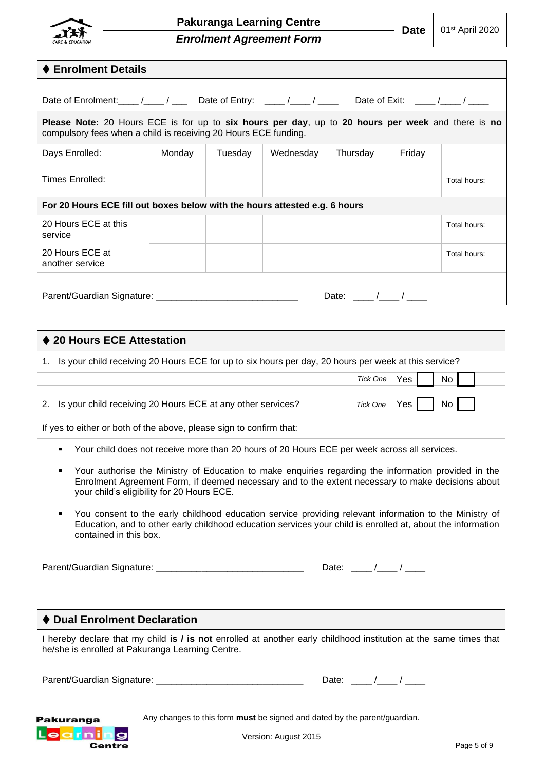

| ♦ Enrolment Details                                                                                                                                                         |        |         |           |             |        |              |
|-----------------------------------------------------------------------------------------------------------------------------------------------------------------------------|--------|---------|-----------|-------------|--------|--------------|
| Date of Enrolment: ___ /___ / ___ Date of Entry: ___ /___ / ___ Date of Exit: ___ /___ /                                                                                    |        |         |           |             |        |              |
| <b>Please Note:</b> 20 Hours ECE is for up to six hours per day, up to 20 hours per week and there is no<br>compulsory fees when a child is receiving 20 Hours ECE funding. |        |         |           |             |        |              |
| Days Enrolled:                                                                                                                                                              | Monday | Tuesday | Wednesday | Thursday    | Friday |              |
| Times Enrolled:                                                                                                                                                             |        |         |           |             |        | Total hours: |
| For 20 Hours ECE fill out boxes below with the hours attested e.g. 6 hours                                                                                                  |        |         |           |             |        |              |
| 20 Hours ECE at this<br>service                                                                                                                                             |        |         |           |             |        | Total hours: |
| 20 Hours ECE at<br>another service                                                                                                                                          |        |         |           |             |        | Total hours: |
|                                                                                                                                                                             |        |         |           | Date: $/$ / |        |              |

| ♦ 20 Hours ECE Attestation                                                                                                                                                                                                                                   |          |       |     |
|--------------------------------------------------------------------------------------------------------------------------------------------------------------------------------------------------------------------------------------------------------------|----------|-------|-----|
| 1. Is your child receiving 20 Hours ECE for up to six hours per day, 20 hours per week at this service?                                                                                                                                                      |          |       |     |
|                                                                                                                                                                                                                                                              | Tick One | Yes I | No  |
| 2. Is your child receiving 20 Hours ECE at any other services?                                                                                                                                                                                               | Tick One | Yes   | No. |
| If yes to either or both of the above, please sign to confirm that:                                                                                                                                                                                          |          |       |     |
| Your child does not receive more than 20 hours of 20 Hours ECE per week across all services.                                                                                                                                                                 |          |       |     |
| Your authorise the Ministry of Education to make enquiries regarding the information provided in the<br>٠<br>Enrolment Agreement Form, if deemed necessary and to the extent necessary to make decisions about<br>your child's eligibility for 20 Hours ECE. |          |       |     |
| You consent to the early childhood education service providing relevant information to the Ministry of<br>٠<br>Education, and to other early childhood education services your child is enrolled at, about the information<br>contained in this box.         |          |       |     |
| Parent/Guardian Signature: ____                                                                                                                                                                                                                              | Date:    |       |     |

### ⧫ **Dual Enrolment Declaration**  I hereby declare that my child **is / is not** enrolled at another early childhood institution at the same times that he/she is enrolled at Pakuranga Learning Centre. Parent/Guardian Signature: \_\_\_\_\_\_\_\_\_\_\_\_\_\_\_\_\_\_\_\_\_\_\_\_\_\_\_\_\_ Date: \_\_\_\_ /\_\_\_\_ / \_\_\_\_

Pakuranga Learning **Centre**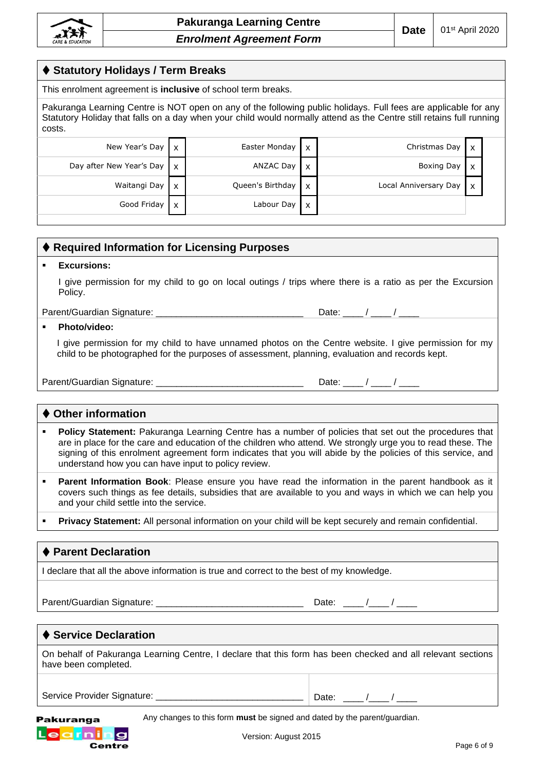#### ⧫ **Statutory Holidays / Term Breaks**

This enrolment agreement is **inclusive** of school term breaks.

Pakuranga Learning Centre is NOT open on any of the following public holidays. Full fees are applicable for any Statutory Holiday that falls on a day when your child would normally attend as the Centre still retains full running costs.

| New Year's Day $\mathbf{x}$ |                           | Easter Monday    | $\boldsymbol{\mathsf{x}}$ | Christmas Day $\mathbf{x}$ |  |
|-----------------------------|---------------------------|------------------|---------------------------|----------------------------|--|
| Day after New Year's Day    | l x                       | ANZAC Day        | X                         | Boxing Day   x             |  |
| Waitangi Day                | $\boldsymbol{\mathsf{x}}$ | Queen's Birthday | X                         | Local Anniversary Day   x  |  |
| Good Friday                 | $\boldsymbol{\mathsf{x}}$ | Labour Day       | x                         |                            |  |

|   | ♦ Required Information for Licensing Purposes                                                                                                                                                                                                                                                                                       |
|---|-------------------------------------------------------------------------------------------------------------------------------------------------------------------------------------------------------------------------------------------------------------------------------------------------------------------------------------|
| ٠ | <b>Excursions:</b>                                                                                                                                                                                                                                                                                                                  |
|   | I give permission for my child to go on local outings / trips where there is a ratio as per the Excursion<br>Policy.                                                                                                                                                                                                                |
|   | Date: $\frac{1}{\sqrt{1-\frac{1}{2}}}$                                                                                                                                                                                                                                                                                              |
| ٠ | Photo/video:                                                                                                                                                                                                                                                                                                                        |
|   | I give permission for my child to have unnamed photos on the Centre website. I give permission for my<br>child to be photographed for the purposes of assessment, planning, evaluation and records kept.                                                                                                                            |
|   |                                                                                                                                                                                                                                                                                                                                     |
|   |                                                                                                                                                                                                                                                                                                                                     |
|   | ♦ Other information                                                                                                                                                                                                                                                                                                                 |
| ٠ | Policy Statement: Pakuranga Learning Centre has a number of policies that set out the procedures that<br>are in place for the care and education of the children who attend. We strongly urge you to read these. The<br>signing of this enrolment agreement form indicates that you will abide by the policies of this service, and |

**• Parent Information Book**: Please ensure you have read the information in the parent handbook as it covers such things as fee details, subsidies that are available to you and ways in which we can help you and your child settle into the service.

Privacy Statement: All personal information on your child will be kept securely and remain confidential.

#### ⧫ **Parent Declaration**

I declare that all the above information is true and correct to the best of my knowledge.

understand how you can have input to policy review.

Parent/Guardian Signature: \_\_\_\_\_\_\_\_\_\_\_\_\_\_\_\_\_\_\_\_\_\_\_\_\_\_\_\_\_ Date: \_\_\_\_ /\_\_\_\_ / \_\_\_\_

#### ⧫ **Service Declaration**

On behalf of Pakuranga Learning Centre, I declare that this form has been checked and all relevant sections have been completed.

Service Provider Signature: \_\_\_\_\_\_\_\_\_\_\_\_\_\_\_\_\_\_\_\_\_\_\_\_\_\_\_\_\_ Date: \_\_\_\_ /\_\_\_\_ / \_\_\_\_

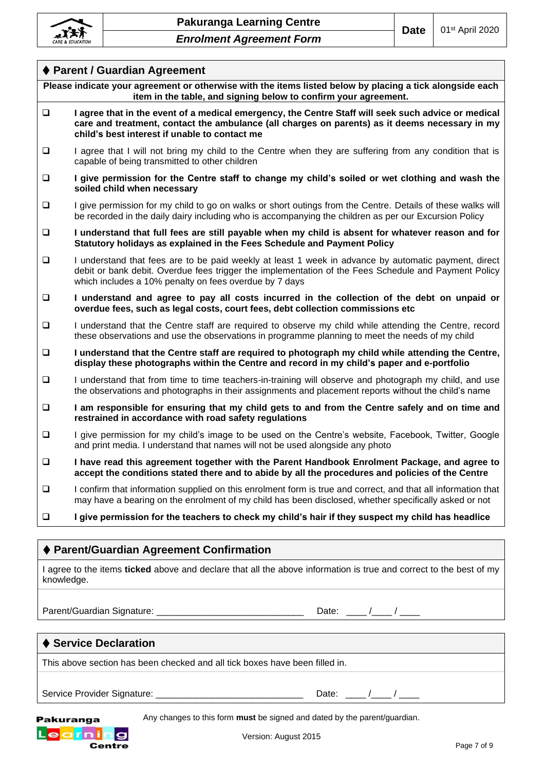

| ♦ Parent / Guardian Agreement                                                                                                                                                                                                                                                    |
|----------------------------------------------------------------------------------------------------------------------------------------------------------------------------------------------------------------------------------------------------------------------------------|
| Please indicate your agreement or otherwise with the items listed below by placing a tick alongside each<br>item in the table, and signing below to confirm your agreement.                                                                                                      |
| I agree that in the event of a medical emergency, the Centre Staff will seek such advice or medical<br>$\Box$<br>care and treatment, contact the ambulance (all charges on parents) as it deems necessary in my<br>child's best interest if unable to contact me                 |
| $\Box$<br>I agree that I will not bring my child to the Centre when they are suffering from any condition that is<br>capable of being transmitted to other children                                                                                                              |
| I give permission for the Centre staff to change my child's soiled or wet clothing and wash the<br>$\Box$<br>soiled child when necessary                                                                                                                                         |
| $\Box$<br>I give permission for my child to go on walks or short outings from the Centre. Details of these walks will<br>be recorded in the daily dairy including who is accompanying the children as per our Excursion Policy                                                   |
| I understand that full fees are still payable when my child is absent for whatever reason and for<br>$\Box$<br>Statutory holidays as explained in the Fees Schedule and Payment Policy                                                                                           |
| $\Box$<br>I understand that fees are to be paid weekly at least 1 week in advance by automatic payment, direct<br>debit or bank debit. Overdue fees trigger the implementation of the Fees Schedule and Payment Policy<br>which includes a 10% penalty on fees overdue by 7 days |
| I understand and agree to pay all costs incurred in the collection of the debt on unpaid or<br>$\Box$<br>overdue fees, such as legal costs, court fees, debt collection commissions etc                                                                                          |
| I understand that the Centre staff are required to observe my child while attending the Centre, record<br>$\Box$<br>these observations and use the observations in programme planning to meet the needs of my child                                                              |
| $\Box$<br>I understand that the Centre staff are required to photograph my child while attending the Centre,<br>display these photographs within the Centre and record in my child's paper and e-portfolio                                                                       |
| $\Box$<br>I understand that from time to time teachers-in-training will observe and photograph my child, and use<br>the observations and photographs in their assignments and placement reports without the child's name                                                         |
| I am responsible for ensuring that my child gets to and from the Centre safely and on time and<br>$\Box$<br>restrained in accordance with road safety regulations                                                                                                                |
| $\Box$<br>I give permission for my child's image to be used on the Centre's website, Facebook, Twitter, Google<br>and print media. I understand that names will not be used alongside any photo                                                                                  |
| $\Box$<br>I have read this agreement together with the Parent Handbook Enrolment Package, and agree to<br>accept the conditions stated there and to abide by all the procedures and policies of the Centre                                                                       |
| I confirm that information supplied on this enrolment form is true and correct, and that all information that<br>$\Box$<br>may have a bearing on the enrolment of my child has been disclosed, whether specifically asked or not                                                 |
| $\Box$<br>I give permission for the teachers to check my child's hair if they suspect my child has headlice                                                                                                                                                                      |
| ♦ Parent/Guardian Agreement Confirmation                                                                                                                                                                                                                                         |

I agree to the items **ticked** above and declare that all the above information is true and correct to the best of my knowledge.

Parent/Guardian Signature: \_\_\_\_\_\_\_\_\_\_\_\_\_\_\_\_\_\_\_\_\_\_\_\_\_\_\_\_\_ Date: \_\_\_\_ /\_\_\_\_ / \_\_\_\_

### ⧫ **Service Declaration**

This above section has been checked and all tick boxes have been filled in.

Service Provider Signature: \_\_\_\_\_\_\_\_\_\_\_\_\_\_\_\_\_\_\_\_\_\_\_\_\_\_\_\_\_ Date: \_\_\_\_ /\_\_\_\_ / \_\_\_\_

Any changes to this form **must** be signed and dated by the parent/guardian.

Pakuranga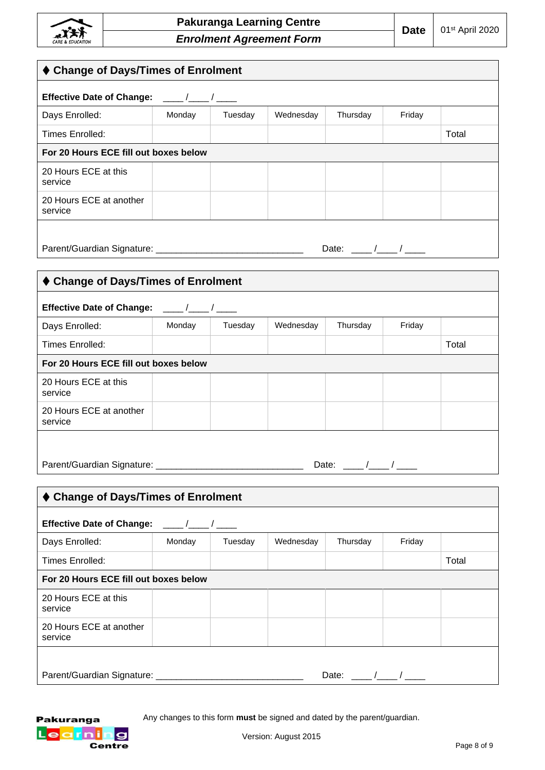

| ♦ Change of Days/Times of Enrolment                                   |         |           |          |        |       |
|-----------------------------------------------------------------------|---------|-----------|----------|--------|-------|
| Effective Date of Change: ___/__/___/                                 |         |           |          |        |       |
| Monday                                                                | Tuesday | Wednesday | Thursday | Friday |       |
|                                                                       |         |           |          |        | Total |
| For 20 Hours ECE fill out boxes below                                 |         |           |          |        |       |
|                                                                       |         |           |          |        |       |
|                                                                       |         |           |          |        |       |
| Date: $/$ /                                                           |         |           |          |        |       |
|                                                                       |         |           |          |        |       |
| ♦ Change of Days/Times of Enrolment                                   |         |           |          |        |       |
| <b>Effective Date of Change:</b><br>$\frac{\frac{1}{2}}{\frac{1}{2}}$ |         |           |          |        |       |
| Monday                                                                | Tuesday | Wednesday | Thursday | Friday |       |
|                                                                       |         |           |          |        | Total |
| For 20 Hours ECE fill out boxes below                                 |         |           |          |        |       |
|                                                                       |         |           |          |        |       |

| 20 Hours ECE at this<br>service    |  |  |  |
|------------------------------------|--|--|--|
| 20 Hours ECE at another<br>service |  |  |  |
|                                    |  |  |  |

| Parent/Guardian Signature: |  |
|----------------------------|--|
|                            |  |

Date:  $\underline{\qquad \qquad }$ 

| ♦ Change of Days/Times of Enrolment            |        |         |           |          |        |       |
|------------------------------------------------|--------|---------|-----------|----------|--------|-------|
| <b>Effective Date of Change:</b><br>$\sqrt{1}$ |        |         |           |          |        |       |
| Days Enrolled:                                 | Monday | Tuesday | Wednesday | Thursday | Friday |       |
| Times Enrolled:                                |        |         |           |          |        | Total |
| For 20 Hours ECE fill out boxes below          |        |         |           |          |        |       |
| 20 Hours ECE at this<br>service                |        |         |           |          |        |       |
| 20 Hours ECE at another<br>service             |        |         |           |          |        |       |
|                                                |        |         |           |          |        |       |
| Parent/Guardian Signature:<br>Date:            |        |         |           |          |        |       |